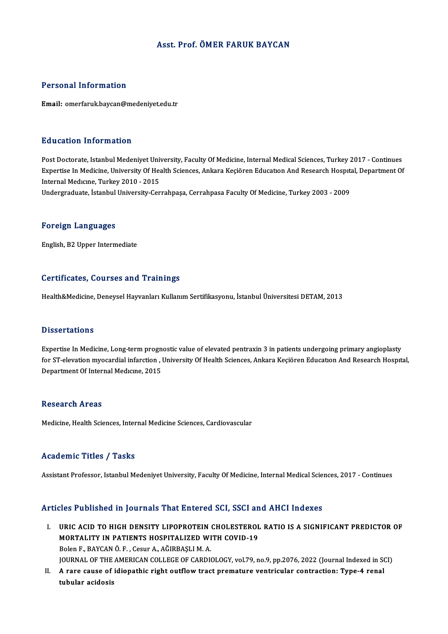### Asst. Prof. ÖMER FARUK BAYCAN

### Personal Information

Email: omerfaruk.baycan@medeniyet.edu.tr

### Education Information

Education Information<br>Post Doctorate, Istanbul Medeniyet University, Faculty Of Medicine, Internal Medical Sciences, Turkey 2017 - Continues<br>Expertise In Medicine, University Of Health Sciences, Ankara Kesiören Education A Expertise In Medicine, University Of Health Sciences, Ankara Keçiören Education And Research Hospital, Department Of<br>Internal Medicine, Turkey 2010 - 2015 Post Doctorate, Istanbul Medeniyet Uni<br>Expertise In Medicine, University Of Hea<br>Internal Medicine, Turkey 2010 - 2015<br>Undergraduate, Istanbul University Cor

Undergraduate, İstanbul University-Cerrahpaşa, Cerrahpasa Faculty Of Medicine, Turkey 2003 - 2009

#### Foreign Languages

English,B2Upper Intermediate

### Certificates, Courses and Trainings

Health&Medicine, Deneysel Hayvanları Kullanım Sertifikasyonu, İstanbul Üniversitesi DETAM, 2013

### **Dissertations**

Expertise In Medicine, Long-term prognostic value of elevated pentraxin 3 in patients undergoing primary angioplasty Babber carroms<br>Expertise In Medicine, Long-term prognostic value of elevated pentraxin 3 in patients undergoing primary angioplasty<br>for ST-elevation myocardial infarction , University Of Health Sciences, Ankara Keçiören Ed Expertise In Medicine, Long-term progn<br>for ST-elevation myocardial infarction , l<br>Department Of Internal Medicine, 2015 Department Of Internal Medicine, 2015<br>Research Areas

Medicine, Health Sciences, Internal Medicine Sciences, Cardiovascular

### Academic Titles / Tasks

Assistant Professor, Istanbul Medeniyet University, Faculty Of Medicine, Internal Medical Sciences, 2017 - Continues

### Articles Published in Journals That Entered SCI, SSCI and AHCI Indexes

- Tricles Published in Journals That Entered SCI, SSCI and AHCI Indexes<br>I. URIC ACID TO HIGH DENSITY LIPOPROTEIN CHOLESTEROL RATIO IS A SIGNIFICANT PREDICTOR OF MORTALITY IN PATIENTS HOSPITALIZED WITH COVID-19<br>MORTALITY IN PATIENTS HOSPITALIZED WITH COVID-19<br>Bolar E. BAYCAN Ö. E. Cour A. AČIPBASLIM A MORTALITY IN PATIENTS HOSPITALIZED WITH COVID-19<br>Bolen F., BAYCAN Ö. F., Cesur A., AĞIRBASLI M. A. JOURNAL OF THE AMERICAN COLLEGE OF CARDIOLOGY, vol.79, no.9, pp.2076, 2022 (Journal Indexed in SCI) Bolen F., BAYCAN Ö. F. , Cesur A., AĞIRBAŞLI M. A.<br>JOURNAL OF THE AMERICAN COLLEGE OF CARDIOLOGY, vol.79, no.9, pp.2076, 2022 (Journal Indexed in S(<br>II. A rare cause of idiopathic right outflow tract premature ventricu
- JOURNAL OF THE<br>A rare cause of<br>tubular acidosis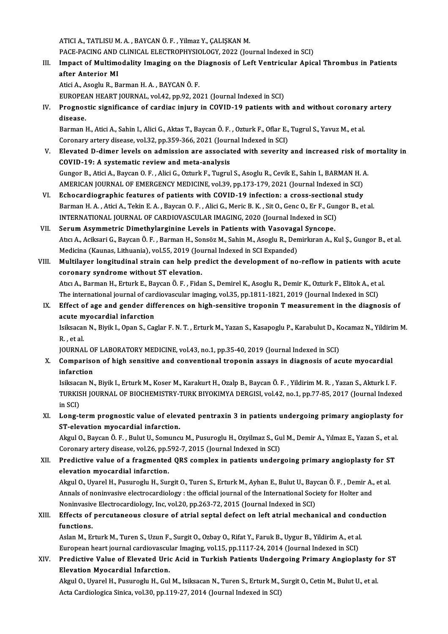ATICI A., TATLISU M. A., BAYCAN Ö. F., Yilmaz Y., ÇALIŞKAN M.

ATICI A., TATLISU M. A. , BAYCAN Ö. F. , Yilmaz Y., ÇALIŞKAN M.<br>PACE-PACING AND CLINICAL ELECTROPHYSIOLOGY, 2022 (Journal Indexed in SCI)<br>Impact of Multimodelity Imaging on the Diagnosia of Laft Ventricular Anie

III. Impact of Multimodality Imaging on the Diagnosis of Left Ventricular Apical Thrombus in Patients after Anterior MI PACE-PACING AND<br>Impact of Multime<br>after Anterior MI

Atici A., Asoglu R., Barman H. A., BAYCAN Ö. F.

EUROPEAN HEART JOURNAL, vol.42, pp.92, 2021 (Journal Indexed in SCI)

Atici A., Asoglu R., Barman H. A. , BAYCAN Ö. F.<br>EUROPEAN HEART JOURNAL, vol.42, pp.92, 2021 (Journal Indexed in SCI)<br>IV. Prognostic significance of cardiac injury in COVID-19 patients with and without coronary artery<br>dise EUROPEA<br>Prognos<br>disease. Prognostic significance of cardiac injury in COVID-19 patients with and without coronary<br>disease.<br>Barman H., Atici A., Sahin I., Alici G., Aktas T., Baycan Ö. F. , Ozturk F., Oflar E., Tugrul S., Yavuz M., et al.<br>Coronary

disease.<br>Barman H., Atici A., Sahin I., Alici G., Aktas T., Baycan Ö. F. , Ozturk F., Oflar E.,<br>Coronary artery disease, vol.32, pp.359-366, 2021 (Journal Indexed in SCI)<br>Flavated D. dimor lavals on admission are associate Barman H., Atici A., Sahin I., Alici G., Aktas T., Baycan Ö. F. , Ozturk F., Oflar E., Tugrul S., Yavuz M., et al.<br>Coronary artery disease, vol.32, pp.359-366, 2021 (Journal Indexed in SCI)<br>V. Elevated D-dimer levels on ad

- Coronary artery disease, vol.32, pp.359-366, 2021 (Journal Indexed in SCI)<br>Elevated D-dimer levels on admission are associated with severity and increased risk of mortality in<br>COVID-19: A systematic review and meta-analysi Gungor B., Atici A., Baycan O. F., Alici G., Ozturk F., Tugrul S., Asoglu R., Cevik E., Sahin I., BARMAN H. A. COVID-19: A systematic review and meta-analysis<br>Gungor B., Atici A., Baycan O. F. , Alici G., Ozturk F., Tugrul S., Asoglu R., Cevik E., Sahin I., BARMAN H. A<br>AMERICAN JOURNAL OF EMERGENCY MEDICINE, vol.39, pp.173-179, 202 Gungor B., Atici A., Baycan O. F., Alici G., Ozturk F., Tugrul S., Asoglu R., Cevik E., Sahin I., BARMAN H. A<br>AMERICAN JOURNAL OF EMERGENCY MEDICINE, vol.39, pp.173-179, 2021 (Journal Indexed in SCI)<br>VI. Echocardiographic
- AMERICAN JOURNAL OF EMERGENCY MEDICINE, vol.39, pp.173-179, 2021 (Journal Indexed in SCI)<br>Echocardiographic features of patients with COVID-19 infection: a cross-sectional study<br>Barman H. A. , Atici A., Tekin E. A. , Bayca Echocardiographic features of patients with COVID-19 infection: a cross-sectiona<br>Barman H. A. , Atici A., Tekin E. A. , Baycan O. F. , Alici G., Meric B. K. , Sit O., Genc O., Er F., Gun<br>INTERNATIONAL JOURNAL OF CARDIOVASC Barman H. A., Atici A., Tekin E. A., Baycan O. F., Alici G., Meric B. K., Sit O., Genc O., Er F., Gui<br>INTERNATIONAL JOURNAL OF CARDIOVASCULAR IMAGING, 2020 (Journal Indexed in SCI)<br>VII. Serum Asymmetric Dimethylarginine Le
- INTERNATIONAL JOURNAL OF CARDIOVASCULAR IMAGING, 2020 (Journal Indexed in SCI)<br>Serum Asymmetric Dimethylarginine Levels in Patients with Vasovagal Syncope.<br>Atıcı A., Aciksari G., Baycan Ö. F. , Barman H., Sonsöz M., Sahin Serum Asymmetric Dimethylarginine Levels in Patients with Vasovaga<br>Atıcı A., Aciksari G., Baycan Ö. F. , Barman H., Sonsöz M., Sahin M., Asoglu R., Den<br>Medicina (Kaunas, Lithuania), vol.55, 2019 (Journal Indexed in SCI Exp Atıcı A., Aciksari G., Baycan Ö. F. , Barman H., Sonsöz M., Sahin M., Asoglu R., Demirkıran A., Kul Ş., Gungor B., et al.<br>Medicina (Kaunas, Lithuania), vol.55, 2019 (Journal Indexed in SCI Expanded)<br>VIII. Multilayer longit
- Medicina (Kaunas, Lithuania), vol.55, 2019 (Journal Indexed in SCI Expanded)<br>Multilayer longitudinal strain can help predict the development of no-reflow in patients with acute<br>coronary syndrome without ST elevation. Multilayer longitudinal strain can help predict the development of no-reflow in patients with a<br>coronary syndrome without ST elevation.<br>Atıcı A., Barman H., Erturk E., Baycan Ö. F. , Fidan S., Demirel K., Asoglu R., Demir coronary syndrome without ST elevation.<br>Atıcı A., Barman H., Erturk E., Baycan Ö. F. , Fidan S., Demirel K., Asoglu R., Demir K., Ozturk F., Elitok A., et a<br>The international journal of cardiovascular imaging, vol.35, pp.1 The international journal of cardiovascular imaging, vol.35, pp.1811-1821, 2019 (Journal Indexed in SCI)
- IX. Effect of age and gender differences on high-sensitive troponin T measurement in the diagnosis of acute myocardial infarction Effect of age and gender differences on high-sensitive troponin T measurement in the diagnosis of<br>acute myocardial infarction<br>Isiksacan N., Biyik I., Opan S., Caglar F. N. T. , Erturk M., Yazan S., Kasapoglu P., Karabulut

a<mark>cute m</mark><br>Isiksacar<br>R. , et al.<br>IOUPNAI Isiksacan N., Biyik I., Opan S., Caglar F. N. T. , Erturk M., Yazan S., Kasapoglu P., Karabulut D., K<br>R. , et al.<br>JOURNAL OF LABORATORY MEDICINE, vol.43, no.1, pp.35-40, 2019 (Journal Indexed in SCI)<br>Comparison of high son

JOURNAL OF LABORATORY MEDICINE, vol.43, no.1, pp.35-40, 2019 (Journal Indexed in SCI)

R. , et al.<br>JOURNAL OF LABORATORY MEDICINE, vol.43, no.1, pp.35-40, 2019 (Journal Indexed in SCI)<br>X. Comparison of high sensitive and conventional troponin assays in diagnosis of acute myocardial<br>infarction Comparison of high sensitive and conventional troponin assays in diagnosis of acute myocardial<br>infarction<br>Isiksacan N., Biyik I., Erturk M., Koser M., Karakurt H., Ozalp B., Baycan Ö. F. , Yildirim M. R. , Yazan S., Akturk

infarction<br>Isiksacan N., Biyik I., Erturk M., Koser M., Karakurt H., Ozalp B., Baycan Ö. F. , Yildirim M. R. , Yazan S., Akturk I. F.<br>TURKISH JOURNAL OF BIOCHEMISTRY-TURK BIYOKIMYA DERGISI, vol.42, no.1, pp.77-85, 2017 (Jo Isiksaca<br>TURKIS<br>in SCI)<br>Long t TURKISH JOURNAL OF BIOCHEMISTRY-TURK BIYOKIMYA DERGISI, vol.42, no.1, pp.77-85, 2017 (Journal Indexed<br>in SCI)<br>XI. Long-term prognostic value of elevated pentraxin 3 in patients undergoing primary angioplasty for<br>ST elevati

in SCI)<br>Long-term prognostic value of elev<br>ST-elevation myocardial infarction.<br>Alvul O. Baygan Ö. E., Bulut U. Samung Long-term prognostic value of elevated pentraxin 3 in patients undergoing primary angioplasty fo<br>ST-elevation myocardial infarction.<br>Akgul O., Baycan Ö. F. , Bulut U., Somuncu M., Pusuroglu H., Ozyilmaz S., Gul M., Demir A

ST-elevation myocardial infarction.<br>Akgul O., Baycan Ö. F. , Bulut U., Somuncu M., Pusuroglu H., Ozyilmaz S., Gu<br>Coronary artery disease, vol.26, pp.592-7, 2015 (Journal Indexed in SCI)<br>Predistive value of a fragmented OBS

Akgul O., Baycan Ö. F. , Bulut U., Somuncu M., Pusuroglu H., Ozyilmaz S., Gul M., Demir A., Yılmaz E., Yazan S., et al.<br>Coronary artery disease, vol.26, pp.592-7, 2015 (Journal Indexed in SCI)<br>XII. Predictive value of a fr Coronary artery disease, vol.26, pp.5<br>Predictive value of a fragmented<br>elevation myocardial infarction.<br>Algul O. Hyarel H. Busuregh: H. Sur Predictive value of a fragmented QRS complex in patients undergoing primary angioplasty for S'<br>elevation myocardial infarction.<br>Akgul O., Uyarel H., Pusuroglu H., Surgit O., Turen S., Erturk M., Ayhan E., Bulut U., Baycan

elevation myocardial infarction.<br>Akgul O., Uyarel H., Pusuroglu H., Surgit O., Turen S., Erturk M., Ayhan E., Bulut U., Baycan Ö. F. , Demir A.<br>Annals of noninvasive electrocardiology : the official journal of the Internat Akgul O., Uyarel H., Pusuroglu H., Surgit O., Turen S., Erturk M., Ayhan E., Bulut U., Bay<br>Annals of noninvasive electrocardiology : the official journal of the International Soci<br>Noninvasive Electrocardiology, Inc, vol.20

## Annals of noninvasive electrocardiology : the official journal of the International Society for Holter and<br>Noninvasive Electrocardiology, Inc, vol.20, pp.263-72, 2015 (Journal Indexed in SCI)<br>XIII. Effects of percutaneous Noninvasiv<br>**Effects of**<br>functions. Effects of percutaneous closure of atrial septal defect on left atrial mechanical and cono<br>functions.<br>Aslan M., Erturk M., Turen S., Uzun F., Surgit O., Ozbay O., Rifat Y., Faruk B., Uygur B., Yildirim A., et al.<br>European

Aslan M., Erturk M., Turen S., Uzun F., Surgit O., Ozbay O., Rifat Y., Faruk B., Uygur B., Yildirim A., et al.<br>European heart journal cardiovascular Imaging, vol.15, pp.1117-24, 2014 (Journal Indexed in SCI) Aslan M., Erturk M., Turen S., Uzun F., Surgit O., Ozbay O., Rifat Y., Faruk B., Uygur B., Yildirim A., et al.<br>European heart journal cardiovascular Imaging, vol.15, pp.1117-24, 2014 (Journal Indexed in SCI)<br>XIV. Predictiv

European heart journal cardiovascul<br>Predictive Value of Elevated Urion<br>Elevation Myocardial Infarction.<br>Algul O. Uropel H. Busuneglu H. Cul Predictive Value of Elevated Uric Acid in Turkish Patients Undergoing Primary Angioplasty fo<br>Elevation Myocardial Infarction.<br>Akgul O., Uyarel H., Pusuroglu H., Gul M., Isiksacan N., Turen S., Erturk M., Surgit O., Cetin M

Elevation Myocardial Infarction.<br>Akgul O., Uyarel H., Pusuroglu H., Gul M., Isiksacan N., Turen S., Erturk M., Surgit O., Cetin M., Bulut U., et al.<br>Acta Cardiologica Sinica, vol.30, pp.119-27, 2014 (Journal Indexed in SCI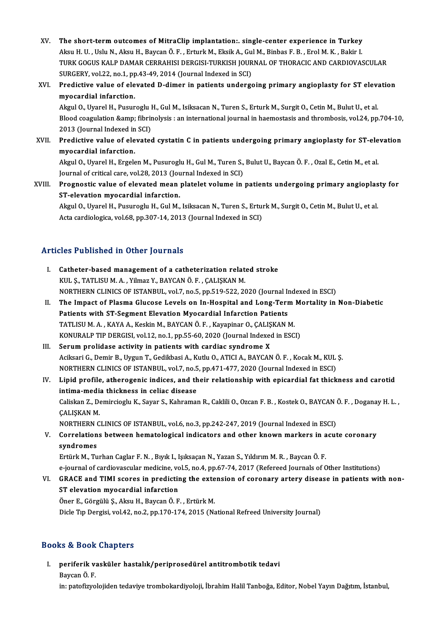- XV. The short-term outcomes of MitraClip implantation:. single-center experience in Turkey The short-term outcomes of MitraClip implantation:. single-center experience in Turkey<br>Aksu H. U. , Uslu N., Aksu H., Baycan Ö. F. , Erturk M., Eksik A., Gul M., Binbas F. B. , Erol M. K. , Bakir I<br>TURK COCUS KALR DAMAR CE TURK GOGUS KALP DAMAR CERRAHISI DERGISI-TURKISH JOURNAL OF THORACIC AND CARDIOVASCULAR Aksu H. U. , Uslu N., Aksu H., Baycan Ö. F. , Erturk M., Eksik A., Gu<br>TURK GOGUS KALP DAMAR CERRAHISI DERGISI-TURKISH JOUR<br>SURGERY, vol.22, no.1, pp.43-49, 2014 (Journal Indexed in SCI)<br>Predistive vol.12 of alevated D. dim TURK GOGUS KALP DAMAR CERRAHISI DERGISI-TURKISH JOURNAL OF THORACIC AND CARDIOVASCULAR<br>SURGERY, vol.22, no.1, pp.43-49, 2014 (Journal Indexed in SCI)<br>XVI. Predictive value of elevated D-dimer in patients undergoing primary
- SURGERY, vol.22, no.1, pp.43-49, 2014 (Journal Indexed in SCI)<br>Predictive value of elevated D-dimer in patients underg<br>myocardial infarction. Predictive value of elevated D-dimer in patients undergoing primary angioplasty for ST elevanty<br>myocardial infarction.<br>Akgul O., Uyarel H., Pusuroglu H., Gul M., Isiksacan N., Turen S., Erturk M., Surgit O., Cetin M., Bulu

Blood coagulation & amp; fibrinolysis : an international journal in haemostasis and thrombosis, vol.24, pp.704-10,<br>2013 (Journal Indexed in SCI) Akgul O., Uyarel H., Pusuroglu H., Gul M., Isiksacan N., Turen S., Erturk M., Surgit O., Cetin M., Bulut U., et al. Blood coagulation & fibrinolysis : an international journal in haemostasis and thrombosis, vol.24, pp.704-10,<br>2013 (Journal Indexed in SCI)<br>XVII. Predictive value of elevated cystatin C in patients undergoing primary a

2013 (Journal Indexed in<br>Predictive value of ele<br>myocardial infarction. Predictive value of elevated cystatin C in patients undergoing primary angioplasty for ST-ele<br>myocardial infarction.<br>Akgul O., Uyarel H., Ergelen M., Pusuroglu H., Gul M., Turen S., Bulut U., Baycan Ö. F. , Ozal E., Cetin

myocardial infarction.<br>Akgul O., Uyarel H., Ergelen M., Pusuroglu H., Gul M., Turen S., Bulut U., Baycan Ö. F. , Ozal E., Cetin M., et al.<br>Journal of critical care, vol.28, 2013 (Journal Indexed in SCI) Akgul O., Uyarel H., Ergelen M., Pusuroglu H., Gul M., Turen S., Bulut U., Baycan Ö. F. , Ozal E., Cetin M., et al.<br>Journal of critical care, vol.28, 2013 (Journal Indexed in SCI)<br>XVIII. Prognostic value of elevated mean p

Journal of critical care, vol.28, 2013 (Journal of critical infarction.<br>ST-elevation myocardial infarction.<br>Algul O. Uranal H. Busuneglu H. Gul M. Prognostic value of elevated mean platelet volume in patients undergoing primary angioplas<br>ST-elevation myocardial infarction.<br>Akgul O., Uyarel H., Pusuroglu H., Gul M., Isiksacan N., Turen S., Erturk M., Surgit O., Cetin

ST-elevation myocardial infarction.<br>Akgul O., Uyarel H., Pusuroglu H., Gul M., Isiksacan N., Turen S., Erturk M., Surgit O., Cetin M., Bulut U., et al.<br>Acta cardiologica, vol.68, pp.307-14, 2013 (Journal Indexed in SCI)

### Articles Published in Other Journals

- I. Catheter-basedmanagement of a catheterization related stroke KUL Ş., TATLISU M. A., Yilmaz Y., BAYCAN Ö. F., ÇALIŞKAN M. Catheter-based management of a catheterization related stroke<br>KUL Ş., TATLISU M. A. , Yilmaz Y., BAYCAN Ö. F. , ÇALIŞKAN M.<br>NORTHERN CLINICS OF ISTANBUL, vol.7, no.5, pp.519-522, 2020 (Journal Indexed in ESCI)<br>The Impact o
- II. The Impact of Plasma Glucose Levels on In-Hospital and Long-Term Mortality in Non-Diabetic<br>Patients with ST-Segment Elevation Myocardial Infarction Patients NORTHERN CLINICS OF ISTANBUL, vol.7, no.5, pp.519-522, 2020 (Journal In<br>The Impact of Plasma Glucose Levels on In-Hospital and Long-Terr<br>Patients with ST-Segment Elevation Myocardial Infarction Patients<br>TATLISUM A., KAYA A The Impact of Plasma Glucose Levels on In-Hospital and Long-Term<br>Patients with ST-Segment Elevation Myocardial Infarction Patients<br>TATLISU M. A., KAYA A., Keskin M., BAYCAN Ö. F., Kayapinar O., ÇALIŞKAN M.<br>KONURALE TIP DER Patients with ST-Segment Elevation Myocardial Infarction Patients<br>TATLISU M. A. , KAYA A., Keskin M., BAYCAN Ö. F. , Kayapinar O., ÇALIŞKAN M.<br>KONURALP TIP DERGISI, vol.12, no.1, pp.55-60, 2020 (Journal Indexed in ESCI)<br>Se TATLISU M. A., KAYA A., Keskin M., BAYCAN Ö. F., Kayapinar O., ÇALIŞ<br>KONURALP TIP DERGISI, vol.12, no.1, pp.55-60, 2020 (Journal Indexed<br>III. Serum prolidase activity in patients with cardiac syndrome X<br>Agiltani C. Demir B
- KONURALP TIP DERGISI, vol.12, no.1, pp.55-60, 2020 (Journal Indexed in ESCI)<br>Serum prolidase activity in patients with cardiac syndrome X<br>Aciksari G., Demir B., Uygun T., Gedikbasi A., Kutlu O., ATICI A., BAYCAN Ö. F. , Ko Serum prolidase activity in patients with cardiac syndrome X<br>Aciksari G., Demir B., Uygun T., Gedikbasi A., Kutlu O., ATICI A., BAYCAN Ö. F. , Kocak M., KUL<br>NORTHERN CLINICS OF ISTANBUL, vol.7, no.5, pp.471-477, 2020 (Jour NORTHERN CLINICS OF ISTANBUL, vol.7, no.5, pp.471-477, 2020 (Journal Indexed in ESCI)
- IV. Lipid profile, atherogenic indices, and their relationship with epicardial fat thickness and carotid Lipid profile, atherogenic indices, and their relationship with epicardial fat thickness and carotid<br>intima-media thickness in celiac disease<br>Caliskan Z., Demircioglu K., Sayar S., Kahraman R., Caklili O., Ozcan F. B. , Ko i<mark>ntima-medi</mark><br>Caliskan Z., De<br>ÇALIŞKAN M.<br>NOPTHEPN C Caliskan Z., Demircioglu K., Sayar S., Kahraman R., Caklili O., Ozcan F. B. , Kostek O., BAYCAN (<br>CALISKAN M.<br>NORTHERN CLINICS OF ISTANBUL, vol.6, no.3, pp.242-247, 2019 (Journal Indexed in ESCI)<br>Correlations between bemat CALISKAN M.<br>NORTHERN CLINICS OF ISTANBUL, vol.6, no.3, pp.242-247, 2019 (Journal Indexed in ESCI)<br>V. Correlations between hematological indicators and other known markers in acute coronary<br>syndromes
- NORTHERN<br>Correlation<br>syndromes<br>Ertürk M. Tu V. Correlations between hematological indicators and other known markers in acute coronary<br>syndromes<br>Ertürk M., Turhan Caglar F. N. , Bıyık I., Işıksaçan N., Yazan S., Yıldırım M. R. , Baycan Ö. F.

e-journal of cardiovascular medicine, vol.5, no.4, pp.67-74, 2017 (Refereed Journals of Other Institutions)

Ertürk M., Turhan Caglar F. N. , Bıyık I., Işıksaçan N., Yazan S., Yıldırım M. R. , Baycan Ö. F.<br>e-journal of cardiovascular medicine, vol.5, no.4, pp.67-74, 2017 (Refereed Journals of Other Institutions)<br>VI. GRACE and TIM e-journal of cardiovascular medicine, vo<br>GRACE and TIMI scores in predictin<br>ST elevation myocardial infarction<br>Öner E. Görgülü S. Algu H. Baycan Ö. E GRACE and TIMI scores in predicting the exte<br>ST elevation myocardial infarction<br>Öner E., Görgülü Ş., Aksu H., Baycan Ö. F. , Ertürk M.<br>Disle T:n Dergisi vel 42, no.2, nn 170, 174, 2015 (Ne

ST elevation myocardial infarction<br>Öner E., Görgülü Ş., Aksu H., Baycan Ö. F. , Ertürk M.<br>Dicle Tıp Dergisi, vol.42, no.2, pp.170-174, 2015 (National Refreed University Journal)

### Books&Book Chapters

I. periferik vasküler hastalık/periprosedürel antitrombotik tedavi es & Book<br>periferik va<br>Baycan Ö. F.<br>in patefizyo

Baycan Ö. F.<br>in: patofizyolojiden tedaviye trombokardiyoloji, İbrahim Halil Tanboğa, Editor, Nobel Yayın Dağıtım, İstanbul,